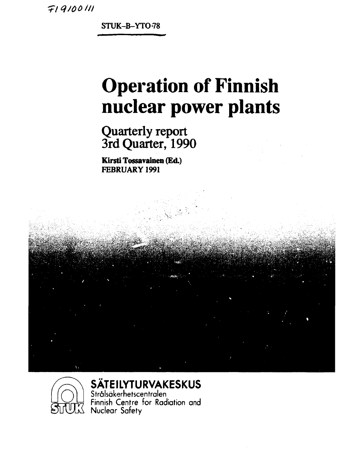~iq/ööili

**STUK-B-YTO-78** 

# **Operation of Finnish nuclear power plants**

## **Quarterly report 3rd Quarter, 1990**

**Kirsti Tossavainen (Ed.) FEBRUARY 1991** 





### **SÄTEILYTURVAKESKUS**

Strälsäkerhetscentralen Finnish Centre for Radiation and Nuclear Safety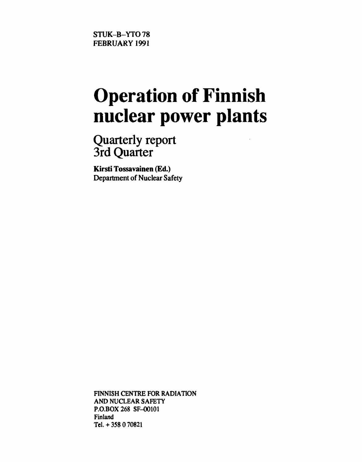# **Operation of Finnish nuclear power plants**

**Quarterly report 3rd Quarter** 

**Kirsti Tossavainen (Ed.)**  Department of Nuclear Safety

FINNISH CENTRE FOR RADIATION AND NUCLEAR SAFETY P.O.BOX 268 SF-00101 Finland Tel.+ 358 070821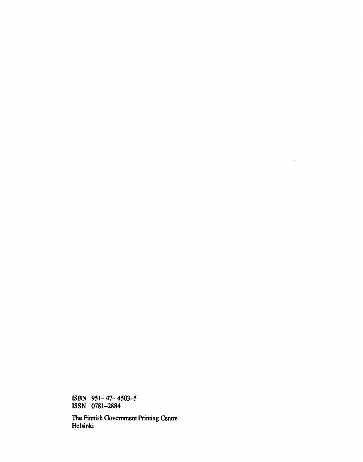**ISBN 951-47-4503-5 ISSN 0781-2884** 

**The Finnish Government Printing Centre Helsinki** 

 $\hat{A}$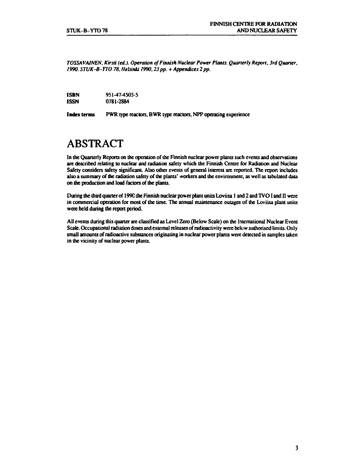*TOSSAVAINEN, Kirsti (cd.). Operation of Finnish Nuclear Power Plants. Quarterly Report. 3rd Quarter, 1990. STUK-B-YTO 78, Helsinki 1990,23 pp. + Appendices 2 pp.* 

| <b>ISBN</b> | 951-47-4503-5 |
|-------------|---------------|
| <b>ISSN</b> | 0781-2884     |

**Index terms** PWR type reactors, BWR type reactors, NPP operating experience

### **ABSTRACT**

In the Quarterly Reports on die operation of the Finnish nuclear power plants such events and observations are described relating to nuclear and radiation safety which the Finnish Centre for Radiation and Nuclear Safety considers safety significant. Also other events of general interest are reported. The report includes also a summary of the radiation safety of die plants' workers and die environment, as well as tabulated data on the production and load factors of die plants.

During the third quarter of 199C the Finnish nuclear power plant units Loviisa 1 and 2 and TVO I and II were in commercial operation for most of the time. The annual maintenance outages of the Loviisa plant units were held during the report period.

All events during this quarter are classified as Level Zero (Below Scale) on the International Nuclear Event Scale. Occupational radiation doses and external releases of radioactivity were below audiorised limits. Only small amounts of radioactive substances originating in nuclear power plants were detected in samples taken in the vicinity of nuclear power plants.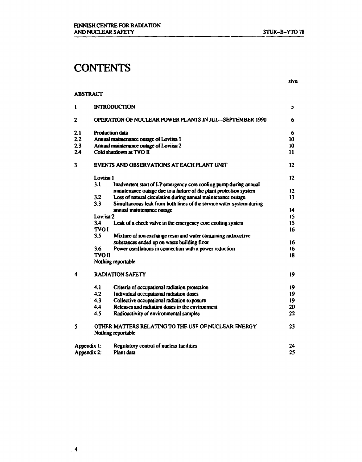### **CONTENTS**

#### **ABSTRACT**

| 1                       |               | <b>INTRODUCTION</b>                                                       | 5             |
|-------------------------|---------------|---------------------------------------------------------------------------|---------------|
| $\mathbf{2}$            |               | <b>OPERATION OF NUCLEAR POWER PLANTS IN JUL-SEPTEMBER 1990</b>            | 6             |
| 2.1                     |               | Production data                                                           | 6             |
| 2.2                     |               | Annual maintenance outage of Loviisa 1                                    | 10            |
| 2.3                     |               | Annual maintenance outage of Loviisa 2                                    | 10            |
| 2.4                     |               | Cold shutdown at TVO II                                                   | $\mathbf{11}$ |
| $\overline{\mathbf{3}}$ |               | EVENTS AND OBSERVATIONS AT EACH PLANT UNIT                                | 12            |
|                         | Loviisa 1     |                                                                           | 12            |
|                         | 3.1           | Inadvertent start of LP emergency core cooling pump during annual         |               |
|                         |               | maintenance outage due to a failure of the plant protection system        | 12            |
|                         | 3.2           | Loss of natural circulation during annual maintenance outage              | 13            |
|                         | 3.3           | Simultaneous leak from both lines of the service water system during      |               |
|                         |               | annual maintenance outage                                                 | 14            |
|                         | Lovisa 2      |                                                                           | 15            |
|                         | 3.4           | Leak of a check valve in the emergency core cooling system                | 15            |
|                         | <b>TVOI</b>   |                                                                           | 16            |
|                         | 3.5           | Mixture of ion exchange resin and water containing radioactive            |               |
|                         |               | substances ended up on waste building floor                               | 16            |
|                         | 3.6           | Power oscillations in connection with a power reduction                   | 16            |
|                         | <b>TVO II</b> |                                                                           | 18            |
|                         |               | Nothing reportable                                                        |               |
| 4                       |               | <b>RADIATION SAFETY</b>                                                   | 19            |
|                         | 4.1           | Criteria of occupational radiation protection                             | 19            |
|                         | 4.2           | Individual occupational radiation doses                                   | 19            |
|                         | 4.3           | Collective occupational radiation exposure                                | 19            |
|                         | 4.4           | Releases and radiation doses in the environment                           | 20            |
|                         | 4.5           | Radioactivity of environmental samples                                    | 22            |
| 5                       |               | OTHER MATTERS RELATING TO THE USF OF NUCLEAR ENERGY<br>Nothing reportable | 23            |
| Appendix 1:             |               | Regulatory control of nuclear facilities                                  | 24            |
| Appendix 2:             |               | Plant data                                                                | 25            |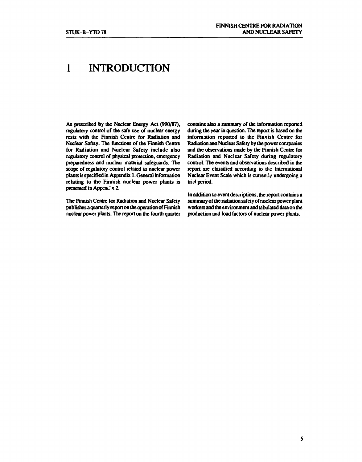### **1 INTRODUCTION**

**As prescribed by the Nuclear Energy Act (990/87), regulatory control of the safe use of nuclear energy rests with the Finnish Centre for Radiation and Nuclear Safety. The functions of the Finnish Centre for Radiation and Nuclear Safety include also regulatory control of physical protection, emergency preparedness and nuclear material safeguards. The scope of regulatory control related to nuclear power plants is specified in Appendix 1. General information relating to the Finnish nuclear power plants is presented in Append's 2.** 

**The Finnish Centre for Radiation and Nuclear Safety publishes a quarterly report on the operation of Finnish nuclear power plants. The report on the fourth quarter**  **contains also a summary of the information reported during the year in question. The report is based on the information reported to the Finnish Centre for Radiation ana Nuclear Safety by the power companies and the observations made by the Finnish Centre for Radiation and Nuclear Safety during regulatory control. The events and observations described in the report are classified according to the International Nuclear Event Scale which is currenJy undergoing a trial period.** 

**In addition to event descriptions, the report contains a summary of the radiation safety of nuclear power plant workers and the environment and tabulated data on the production and load factors of nuclear power plants.**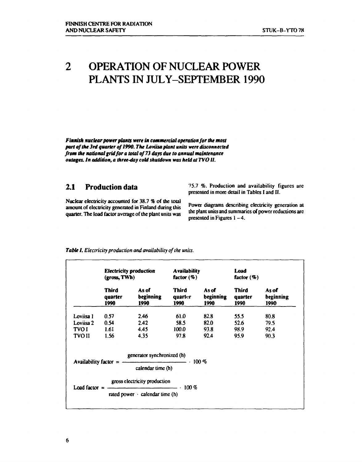### **2 OPERATION OF NUCLEAR POWER PLANTS IN JULY-SEPTEMBER 1990**

*Finnish nuclear power plants were in commercial operation for the most part of the 3rd quarter of 1990. The Loviisa plant units were disconnected from the national grid for a total of 73 days due to annual maintenance outages. In addition, a three-day cold shutdown was held at TVOII.* 

#### **2.1 Production data**

Nuclear electricity accounted for 38.7 % of the total<br>numerate of electricity accounted in Finland during this Power diagrams describing electricity generation at amount of electricity generated in Finland during this quarter. The load factor average of the plant units was

75.7  $%$ . Production and availability figures are presented in more detail in Tables I and II.

the plant units and summaries of power reductions are presented in Figures  $1-4$ .

|           | <b>Electricity production</b><br>(gross, TWh) |                                                                              | <b>Availability</b><br>factor $(\%)$ |                            | Load<br>factor $(\%)$    |                            |
|-----------|-----------------------------------------------|------------------------------------------------------------------------------|--------------------------------------|----------------------------|--------------------------|----------------------------|
|           | Third<br>auarter<br>1990                      | As of<br>beginning<br>1990                                                   | Third<br>quarter<br>1990             | As of<br>beginning<br>1990 | Third<br>quarter<br>1990 | As of<br>beginning<br>1990 |
| Loviisa 1 | 0.57                                          | 2.46                                                                         | 61.0                                 | 82.8                       | 55.5                     | 80.8                       |
| Loviisa 2 | 0.54                                          | 2.42                                                                         | 58.5                                 | 82.0                       | 52.6                     | 79.5                       |
| TVO I     | 1.61                                          | 4.45                                                                         | 100.0                                | 93.8                       | 98.9                     | 92.4                       |
| TVO II    | 1.56                                          | 4.35                                                                         | 97.8                                 | 92.4                       | 95.9                     | 90.3                       |
|           |                                               | generator synchronized (h)<br>Availability factor = $\frac{100\%}{100\%}$    |                                      |                            |                          |                            |
|           |                                               | calendar time (h)                                                            |                                      |                            |                          |                            |
|           |                                               | gross electricity production                                                 |                                      |                            |                          |                            |
|           |                                               | Load factor = $\frac{100\%}{100\%}$<br>rated power $\cdot$ calendar time (h) |                                      |                            |                          |                            |
|           |                                               |                                                                              |                                      |                            |                          |                            |

#### *Table I. Electricity production and availability of the units.*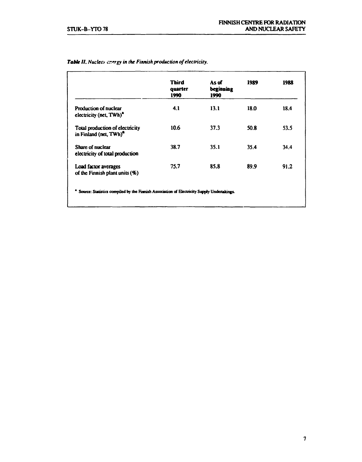|                                                                       | <b>Third</b><br>quarter<br>1990 | As of<br>beginning<br>1990 | 1989 | 1988 |
|-----------------------------------------------------------------------|---------------------------------|----------------------------|------|------|
| <b>Production of nuclear</b><br>electricity (net, TWh) <sup>2</sup>   | 4.1                             | 13.1                       | 18.0 | 18.4 |
| Total production of electricity<br>in Finland (net, TWh) <sup>a</sup> | 10.6                            | 37.3                       | 50.8 | 53.5 |
| Share of nuclear<br>electricity of total production                   | 38.7                            | 35.1                       | 35.4 | 34.4 |
| Load factor averages<br>of the Finnish plant units $(\%)$             | 75.7                            | 85.8                       | 89.9 | 91.2 |

#### *TaNe II. Nuclea [er.trgy](http://er.tr) in the Finnish production of electricity.*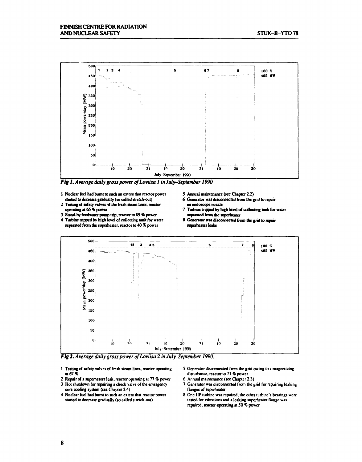

*Fig 1. Average daily gross power of Loviisa 1 in July-September 1990* 

- **1 Nuclear fuel had burnt to such an extern thai reactor power**  started to decrease gradually (so called stretch-out)
- **2 Testing of safety valves** *nt* **the fresh steam lines, reactor operating at 65 % power**
- **3 Stand-by feedwater pump trip, reactor to 89 % power 4 Turbine tripped by high level of collecting tank for water**
- **separated from the superheater, reactor to 40** *%* **power**
- **5 Annual maintenance (see Chapter 2.2)**
- **6 Generator was disconnected from the grid to repair**
- **an endoscope nozzle 7 Turbine tripped by high level of collecting lank for water separated from the superheater**
- **S Generator was disconnected from the grid to repair superheater leaks**



*Fig 2. Average daily gross power of Loviisa 2 in July-September 1990.* 

- **1 Testing of safety valves of fresh si earn lines, reactor operating at 67%**
- **2 Repair of a superheater leak, reactor operating at 77 % power**
- **3 Hot shutdown for repairing a check valve of the emergency core cooling system (see Chapter 3.4)**
- **4 Nuclear fuel had burnt lo such an extent that reactor power slatted to decrease gradually (so called stretch-out)**
- **5 Generator disconnected from the grid owing to a magnetizing disturbance, reactor to 71 % power**
- **6 Annual maintenance (see Chapter 2.3)**
- **7 Generator was disconnected from the grid for repairing leaking flanges of superheater**
- **8 One IIP turbine was repaired, the other turbine's bearings were tested for vibrations and a leaking superheater flange was repaired, reactor operating al 50** *%* **power**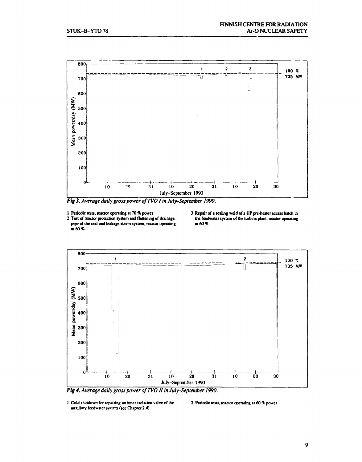

*Fig 3. Average daily gross power ofTVO I in July-September 1990.* 

- **1 Periodic tests, reactor operating at 70% power**
- **2 Test of reactor protection system and flanening of drainage pipe of the seal and leakage steam system, reactor operating at 60%**
- **3 Repair of > sealing weld of a HP pre-heater access hatch in the feedwater system of the turbine plant, reactor operating at 60%**



Fig 4. Average daily gross power of TVO II in July-September 1990.

**2 Periodic tests, reactor operating at 60** *%* **power** 

**<sup>1</sup> Cold shutdown for repairing an inner isolation valve of the**  auxiliary feedwater system (see Chapter 2.4)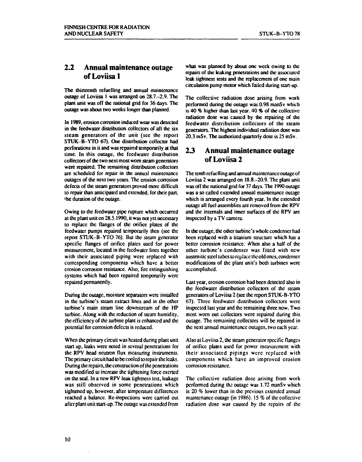#### **2.2 Annual maintenance outage of Loviisa 1**

**The thirteenth refuelling and annual maintenance outage of Loviisa 1 was arranged on 28.7.-2.9. The plant unit was off the national grid for 36 days. The outage was about two weeks longer than planned.** 

**In 1989, erosion corrosion induced wear was detected in the feedwater distribution collectors of all the six steam generators of the unit (see the report STUK-B-YTO 67). One distribution collector had perforations in it and was repaired temporarily at diat time. In this outage, the fecdwater distribution collectors of the two next most worn steam generators were repaired. The remaining distribution collectors are scheduled for repair in the annual maintenance outages of die next two years. The erosion corrosion defects of the steam generators proved more difficult to repair than anticipated and extended, for their part, 'he duration of the outage.** 

**Owing to the feedwater pipe rupture which occurred at die plant unit on 28.5.1990, it was not yet necessary to replace the flanges of the orifice plates of the fecdwater pumps repaired temporarily then (sec the report STUK-B-YTO 76). But the steam generator specific flanges of orifice plates used for power measurement, located in the fecdwater lines together with their associated piping were replaced with corresponding components which have a belter erosion corrosion resistance. Also, fire extinguishing systems which had been repaired temporarily were repaired permanently.** 

**During die outage, moisture separators were installed in die turbine's steam extract lines and in die other turbine's main steam line downstream of the HP turbine. Along with the reduction of steam humidity, the efficiency of the turbine plant is enhanced and die potential for corrosion defects is reduced.** 

**When die primary circuit was heated during plant unit start up, leaks were noted in several penetrations for the RPV head neutron flux measuring instruments. The primary circuit had to be cooled to repair the leaks. During die repairs, die construction of the penetrations was modified to increase die tightening force exerted on die seal. In a new RPV leak tightness test, leakage was still observed in some penetrations which tightened up, however, after temperature differences reached a balance. Re-inspections were carried out after plant unit start-up. The outage was extended from** 

**what was planned by about one week owing to the repairs of die leaking penetrations and die associated leak tightness tests and die replacement of one main circulation pump motor which failed during start-up.** 

**The collective radiation dose arising from work performed during die outage was 0.98 manSv which is 40 % higher than last year. 40 % of die collective radiation dose was caused by the repairing of die feedwater distribution collectors of the steam generators. The highest individual radiation dose was 20.3 mSv. The authorized quarterly dose is 25 mSv.** 

#### *23* **Annual maintenance outage of Loviisa 2**

**The tenth refuelling and annual maintenance outage of Loviisa 2 was arranged on 18.8.-20.9. The plant unit was off die national grid for 37 days. The 1990 outage was a so called extended annual maintenance outage which is arranged every fourth year. In the extended outage all fuel assemblies arc removed from die RPV and die internals and inner surfaces of die RPV are inspected by a TV camera.** 

**In die outage, die other turbine's whole condenser had been replaced with a titanium structure which has a**  better corrosion resistance. When also a half of the **other turbine's condenser was fitted with new austeni tic steel tubes to replace the old ones, condenser modifications of die plant unit's both turbines were accomplished.** 

**Last year, erosion corrosion had been detected also in die fecdwater distribution collectors of die steam generators of Loviisa 2 (see the report STUK-B-YTO 67). Three feedwatcr distribution collectors were inspected last year and die remaining three now. Two most worn out collectors were repaired during this outage. The remaining collectors will be repaired in the next annual maintenance outages, two each year.** 

**Also at Loviisa 2, the steam generator specific flanges of orifice plates used for power measurement with their associated pipings were replaced with components which have an improved erosion corrosion resistance.** 

**The collective radiation dose arising from work performed during the outage was 1.72 manSv which is 20 % lower than in die previous extended annual maintenance outage (in 1986). 15 % of die collective radiation dose was caused by the repairs of the**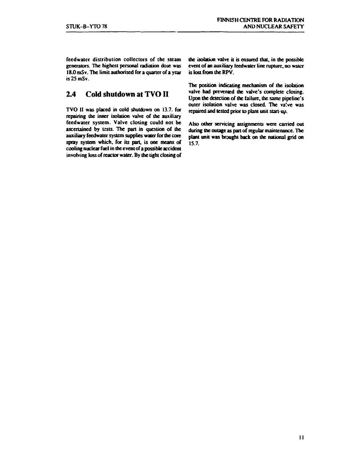**fccdwater distribution collectors of the steam generators. The highest personal radiation dose was 18.0 mSv. The limit authorised for a quarter of a year is 25 mSv.** 

#### **2.4 Cold shutdown at TVOII**

**TVO II was placed in cold shutdown on 13.7. for repairing the inner isolation valve of the auxiliary feedwater system. Valve closing could not be ascertained by tests. The part in question of the auxiliary feedwater system supplies water for the core spray system which, for its part, is one means of cooling nuclear fuel in die event of a possible accident involving loss of reactor water. By the tight closing of**  **the isolation valve it is ensured that, in die possible event of an auxiliary teedwater line rupture, no water is lost from the RPV.** 

**The position indicating mechanism of the isolation**  valve had prevented the valve's complete closing. **Upon the detection of the failure, the same pipeline's outer isolation valve was closed. The va!ve was repaired and tested prior to plant unit start-up.** 

**Also other servicing assignments were carried out during the outage as part of regular maintenance. The plant unit was brought back on the national grid on 15.7.**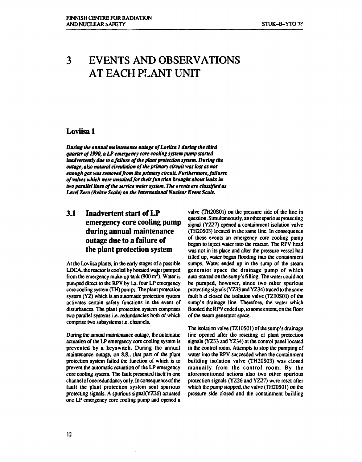### **3 EVENTS AND OBSERVATIONS AT EACH PLANT UNIT**

#### **Loviisa 1**

*During the annual maintenance outage of Loviisa 1 during the third quarter of 1990, a LP emergency core cooling system pump started inadvertently due to a failure of the plant protection system. During the outage, also natural circulation of the primary circuit was lost as not enough gas was removed from the primary circuit Furthermore, failures*  of valves which were unsuited for their function brought about leaks in *two parallel lines of the service water system. The events are classified as Level Zero (Below Scale) on the International Nuclear Event Scale.* 

#### **3.1 Inadvertent start of LP emergency core cooling pump during annual maintenance outage due to a failure of the plant protection system**

**At the Loviisa plants, in the early stages of a possible LOCA, the reactor is cooled by borated water pumped from the emergency make-up tank (900 m<sup>3</sup> ). Water is pumped direct to the RPV by i.a. four LP emergency core cooling system (TH) pumps. The plant protection system (YZ) which is an automatic protection system activates certain safety functions in the event of disturbances. The plant protection system comprises two parallel systems i.e. redundancies both of which comprise two subsystems i.e. channels.** 

**During the annual maintenance outage, the automatic actuation of the LP emergency core cooling system is prevented by a keyswitch. During the annual maintenance outage, on 8.8., that part of the plant protection system failed the function of which is to prevent the automatic actuation of the LP emergency core cooling system. The fault presented itself in one channel of one redundancy only. In consequence of the fault the plant protection system sent spurious protecting signals. A spurious signal(YZ26) actuated one LP emergency core cooling pump and opened a**  **valve (TH20S01) on the pressure side of the line in question. Simultaneously, an other spurious protecting signal (YZ27) opened a containment isolation valve (TH20S03) located in the same line. In consequence of these events an emergency core cooling pump began to inject water into the reactor. The RPV head was not in its place and after the pressure vessel had filled up, water began flooding into the containment**  sumps. Water ended up in the sump of the steam **generator space the drainage pump of which auto-started on the sump's filling. The water could not be pumped, however, since two other spurious protecting signals (YZ33 and YZ34) traced to die same fault h id closed the isolation valve (TZ10S01) of the sump's drainage line. Therefore, die water which flooded the RPV ended up, to some extent, on die floor of the steam generator space.** 

**The isolation valve (TZ10S01) of the sump's drainage line opened after the resetting of plant protection signals (YZ33 and YZ34) at the control panel located in the control room. Attempts to stop the pumping of water into die RPV succeeded when die containment building isolation valve (TH20S03) was closed manually from the control room. By the aforementioned actions also two other spurious protection signals (YZ26 and YZ27) were reset after which the pump stopped, the valve (TH20S01) on the pressure side closed and die containment building**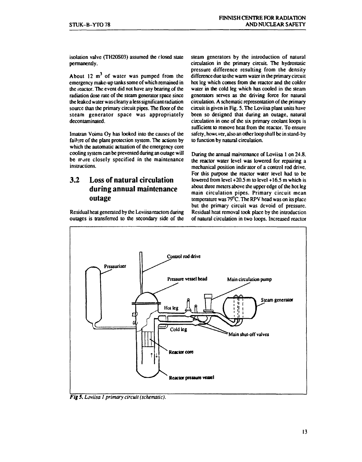**isolation valve (TH20S03) assumed the closed state permanently.** 

**About 12 m<sup>3</sup> of water was pumped from the emergency make-up tanks some of which remained in the reactor. The event did not have any bearing of the radiation dose rate of the steam generator space since the leaked water was clearly a less significant radiation source than the primary circuit pipes. The floor of the steam generator space was appropriately decontaminated.** 

**Imatran Voima Oy has looked into the causes of the failure of the plant protection system. The actions by which the automatic actuation of the emergency core cooling system can be prevented during an outage will**  be more closely specified in the maintenance **instructions.** 

#### **3.2 Loss of natural circulation during annual maintenance outage**

**Residual heat generated by the Loviisa reactors during outages is transferred to the secondary side of the**  **steam generators by the introduction of natural circulation in the primary circuit The hydrostatic pressure difference resulting from the density difference due to the warm water in the primary circuit hot leg which comes from the reactor and the colder water in the cold leg which has cooled in the steam generators serves as the driving force for natural circulation. A schematic representation of the primary circuit is given in Fig. S. The Loviisa plant units have been so designed that during an outage, natural circulation in one of the six primary coolant loops is sufficient to remove heat from the reactor. To ensure safety, however, also an other loop shall be in stand-by to function by natural circulation.** 

**During the annual maintenance of Loviisa 1 on 24.8. the reactor water level was lowered for repairing a mechanical position indicator of a control rod drive. For this purpose the reactor water level had to be lowered from level +20.5 m to level +16.5 m which is about three meters above the upper edge of the hot leg main circulation pipes. Primary circuit mean temperature was 79°C. The RPV head was on its place but the primary circuit was devoid of pressure. Residual heat removal took place by the introduction of natural circulation in two loops. Increased reactor** 



*Fig* **5.** *Loviisa I primary circuit (schematic).*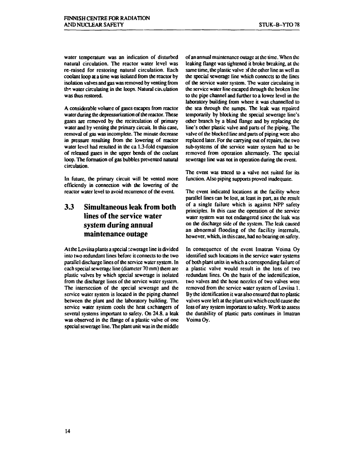**water temperature was an indication of disturbed natural circulation. The reactor water level was re-raised for restoring natural circulation. Each coolant loop at a time was isolated from the reactor by isolation valves and gas was removed by venting from**  *til\*,* **water circulating in the loops. Natural circulation was thus restored.** 

**A considerable volume of gases escapes from reactor**  water during the depressurization of the reactor. These **gases are removed by the recirculation of primary water and by venting the primary circuit In this case, removal of gas was incomplete. The minute decrease in pressure resulting from the lowering of reactor water level had resulted in the ca 1.3-fold expansion of released gases in the upper bends of the coolant loop. The formation of gas bubbles prevented natural circulation.** 

**In future, the primary circuit will be vented more efficiently in connection with the lowering of the reactor water level to avoid recurrence of the event** 

#### **3.3 Simultaneous leak from both lines of the service water system during annual maintenance outage**

At the Loviisa plants a special sewerage line is divided **into two redundant lines before it connects to the two parallel discharge lines of the service water system. In each special sewerage line (diameter 70 mm) there arc plastic valves by which special sewerage is isolated from the discharge lines of the service water system. The intersection of the special sewerage and the service water system is located in the piping channel between the plant and the laboratory building. The service water system cools the heat exchangers of several systems important to safety. On 24.8. a leak was observed in the flange of a plastic valve of one special sewerage line. The plant unit was in the middle** 

**of an annual maintenance outage at the time. When the leaking flange was tightened it broke breaking, at the same time, the plastic valve )f the other line as well as the special sewerage line which connects to the lines of the service water system. The water circulating in the service water line escaped through the broken line to the pipe channel and further to a lower level in the laboratory building from where it was channelled to the sea through the sumps. The leak was repaired temporarily by blocking the special sewerage line's other branch by a blind flange and by replacing the line's other plastic valve and parts of !he piping. The valve of the blocked line and parts of piping were also replaced later. For the carrying out of repairs, the two sub-systems of the service water system had to be removed from operation alternately. The special sewerage line was not in operation during the event.** 

**The event was traced to a valve not suited for its function. Also piping supports proved inadequate.** 

**The event indicated locations at the facility where parallel lines can be lost, at least in pan, as the result of a single failure which is against NPP safety principles. In this case the operation of the service water system was not endangered since the leak was on the discharge side of the system. The leak caused an abnormal flooding of the facility internals, however, which, in this case, had no bearing on safety.** 

**In consequence of the event Imatran Voima Oy identified such locations in the service water systems of both plant units in which a corresponding failure of a plastic valve would result in the loss of two redundant lines. On the basis of the indentification, two valves and the hose nozzles of two valves were removed from the service water system of Loviisa 1. By the identification it was also ensured that no plastic valves were left at the plant unit which could cause the loss of any system important to safety. Work to assess the durability of plastic parts continues in Imatran Voima Oy.**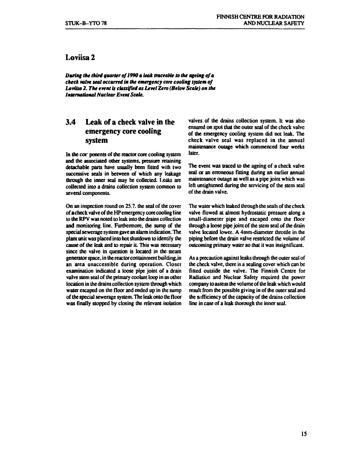#### **Loviisa 2**

*During the third quarter of1990 a leak traceable to the ageing of a check valve seat occurred in the emergency core cooling system of Loviisa 2. The event is classified as Level Zero (Below Scale) on the International Nuclear Event Scale.* 

#### **3.4 Leak of a check valve in the emergency core cooling system**

In the cor ponents of the reactor core cooling system **and the associated other systems, pressure retaining detachable parts have usually been fitted with two successive seals in between of which any leakage through the inner seal may be collected. I-eaks are collected into a drains collection system common to several components.** 

**On an inspection round on 2S.7. the seal of the cover of a check valve of the HPemergency core cooling line to the RPV was noted to leak into the drains collection and monitoring line. Furthermore, the sump of the special sewerage system gave an alarm indication. The plant unit was placed into hot shutdown to identify the cause of the leak and to repair it. This was necessary since the valve in question is located in the steam generator space, in the reactor containment buildingjn an area unaccessible during operation. Closer examination indicated a loose pipe joint of a drain valve stem seal of the primary coolant loop in an other location in the drains collection system through which water escaped on the floor and ended up in the sump of the special sewerage system. The leak onto the floor was finally stopped by closing the relevant isolation**  **valves of the drains collection system. It was also ensured on spot that the outer seal of the check valve of the emergency cooling system did not leak. The check valve seal was replaced in the annual maintenance outage which commenced four weeks later.** 

**The event was traced to the ageing of a check valve seal or an erroneous fitting during an earlier annual maintenance outage as well as a pipe joint which was left untightened during the servicing of the stem seal of the drain valve.** 

**The water which leaked through the seals of the check valve flowed at almost hydrostatic pressure along a small-diameter pipe and escaped onto the floor through a loose pipe joint of the stem seal of the drain valve located lower. A 4mm-diameter throttle in the piping before the drain valve restricted the volume of outcoming primary water so that it was insignificant.** 

**As a precaution against leaks through the outer seal of the check valve, there is a sealing cover which can be fitted outside the valve. The Finnish Centre for Radiation and Nuclear Safety required the power company to assess the vol ume of the leak which would result from the possible giving in of the outer seal and the sufficiency of the capacity of the drains collection line in case of a leak thorough the inner seal.**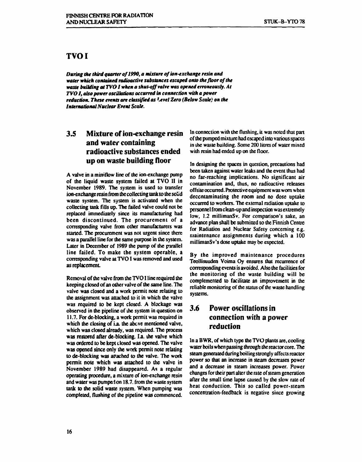#### **TVOI**

*During the third quarter of 1990, a mixture of ion-exchange resin and water which contained radioactive substances escaped onto the floor of the waste building at TVOI when a shut-off valve was opened erroneously. At TVO I, also power oscillations occurred in connection with a power*  reduction. These events are classified as *<sup>1</sup> evel Zero (Below Scale) on the International Nuclear Event Scale.* 

#### **3.5 Mixture of ion-exchange resin and water containing radioactive substances ended up on waste building floor**

**A valve in a miniflow line of the ion-exchange pump of the liquid waste system failed at TVO II in November 1989. The system is used to transfer ion-exchange resin from the collecting tank to the solid waste system. The system is activated when the collecting tank fills up. The failed valve could not be replaced immediately since its manufacturing had been discontinued. The procurement of a corresponding valve from other manufacturers was started. The procurement was not urgent since there was a parallel line for the same purpose in the system. Later in December of 1989 the pump of the parallel line failed. To make the system operable, a corresponding valve at TVO I was removed and used as replacement.** 

**Removal of the valve from the TVO I line required the keeping closed of an other valve of the same line. The valve was closed and a work permit note relating to the assignment was attached to it in which the valve was required to be kept closed. A blockage was observed in the pipeline of the system in question on 11.7. For de-blocking, a work permit was required in**  which the closing of i.a. the above mentioned valve, **which was closed already, was required. The process**  was restored after de-blocking. I.a. the valve which **was ordered to be kept closed was opened. The valve was opened since only the work permit note relating to de-Mocking was af ached to the valve. The work permit note which was attached to the valve in November 1989 had disappeared. As a regular operating procedure, a mixture of ion-exchange resin**  and water was pumped on 18.7. from the waste system **tank to the solid waste system. When pumping was completed, flushing of the pipeline was commenced.** 

**In connection with the flushing, it was noted that part of the pumped mixture had escaped into various spaces in the waste building. Some 200 litres of water mixed with resin had ended up on the floor.** 

**In designing the spaces in question, precautions had been taken against water leaks and the event thus had no far-reaching implications. No significant air contamination and, thus, no radioactive releases off site occurred. Protective equipment was worn when decontaminating the room and no dose uptake occurred to workers. The external radiation uptake to personnel from clean-up and inspection was extremely low, 1.2 millimanSv. For comparison's sake, an advance plan shall be submitted to the Finnish Centre for Radiation and Nuclear Safety concerning e.g. maintenance assignments during which a 100 millimanSv's dose uptake may be expected.** 

**By the improved maintenance procedures Teollisuuden Voima Oy ensures that recurrence of corresponding events is avoided. Also the facilities for the monitoring of the waste building will be complemented to facilitate an improvement in the reliable monitoring of the status of the waste handling systems.** 

#### **3.6 Power oscillations in connection with a power reduction**

**In a BWR, of which type the TVO plants are, cooling water boils when passing through the reactor core. The steam generated during boiling strongly affects reactor power so that an increase in steam decreases power and a decrease in steam increases power. Power changes for their part alter the rate of steam generation after the small time lapse caused by the slow rate of heat conduction. This so called power-steam concentration-feedback is negative since growing**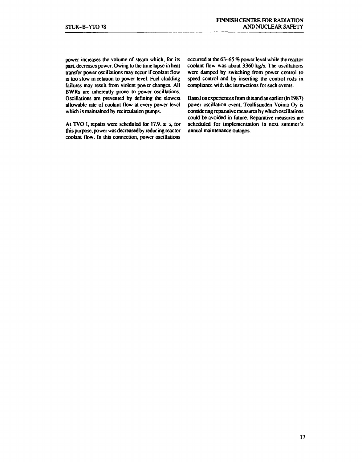**power increases the volume cf steam which, for its part, decreases power. Owing to the lime lapse in heat transfer power oscillations may occur if coolant flow is too slow in relation to power level. Fuel cladding failures may result from violent power changes. All BWRs are inherently prone to power oscillations. Oscillations are prevented by defining the slowest allowable rate of coolant flow at every power level which is maintained by recirculation pumps.** 

**At TVO I, repairs were scheduled for 17.9. si , for this purpose, power was decreased by reducing reactor coolant flow. In this connection, power oscillations**  **occurred at the 63-65 % power level w hile the reactor coolant flow was about 3360 kg/s. The oscillations were damped by switching from power control to speed control and by inserting the control rods in**  compliance with the instructions for such events.

**Based on experiences from this and an earlier (in 1987) power oscillation event. Teollisuuden Voima Oy is considering reparative measures by which oscillations could be avoided in future. Reparative measures are scheduled for implementation in next summer's annual maintenance outages.**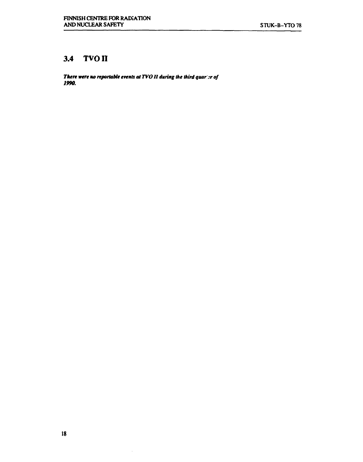#### **3.4 TVO n**

*There were no reportable events at TVO U during the third quar ;r of 1990.* 

 $\bar{\gamma}$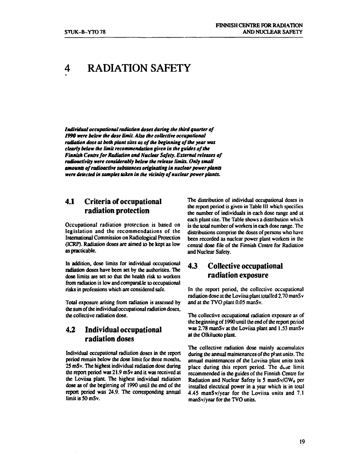### **4 RADIATION SAFETY**

*Individual occupational radiation doses during the third quarter of 1990 were below the dose limit. Also the collective occupational radiation dose at both plant sites as of the beginning of the year was clearly below the limit recommendation given in the guides of the Finnish Centre for Radiation and Nuclear Safety. External releases of radioactivity were considerably below the release limits. Only small amounts of radioactive substances originating in nuclear power plants were detected in samples taken in the vicinity of nuclear power plants.* 

#### **4.1 Criteria of occupational radiation protection**

**Occupational radiation protection is based on legislation and the recommendations of the International Commission on Radiological Protection (ICRP). Radiation doses are aimed to be kept as low as practicable.** 

**In addition, dose limits for individual occupational radiation doses have been set by the authorities. The dose limits are set so that the health risk to workers from radiation is low and comparable to occupational risks in professions which are considered safe.** 

**Total exposure arising from radiation is assessed by the sum of the individual occupational radiation doses, the collective radiation dose.** 

#### **4.2 Individual occupational radiation doses**

**Individual occupational radiation doses in the report period remain below the dose limit for three months, 25 mSv. The highest individual radiation dose during the report period was 21.9 mSv and it was received at the Loviisa plant The highest individual radiation dose as of the beginning of 1990 until the end of the report period was 24.9. The corresponding annual limit is 50 mSv.** 

**The distribution of individual occupational doses in the report period is given in Table III which specifies the number of individuals in each dose range and at each plant site. The Table shows a distribution which is the total number of workers in each dose range. The distributions comprise the doses of persons who have been recorded as nuclear power plant workers in the central dose file of the Finnish Centre for Radiation and Nuclear Safety.** 

#### **4** *3* **Collective occupational radiation exposure**

**In the report period, the collective occupational radiation dose at the Loviisa plant totalled 2.70 manS v and at the TVO plant 0.05 manSv.** 

**The collective occupational radiation exposure as of the beginning of 1990 until the end of the report period was 2.78 manSv at the Loviisa plant and 1.53 manSv at the Olkiluoto plant.** 

**The collective radiation dose mainly accumulates during the annual maintenances of the pi ant units. The annual maintenances of the Loviisa plant units took place during this report period. The doie limit recommended in the guides of the Finnish Centre for Radiation and Nuclear Safety is 5 manSv/GWe per installed electrical power in a year which is in total 4.45 manSv/year for the Loviisa units and 7.1 manSv/year for the TVO units.**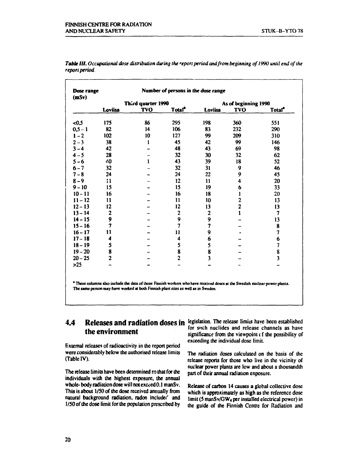| Dose range<br>(mSv) | Number of persons in the dose range |                    |                    |                         |                         |                    |  |
|---------------------|-------------------------------------|--------------------|--------------------|-------------------------|-------------------------|--------------------|--|
|                     |                                     | Third quarter 1990 |                    |                         | As of beginning 1990    |                    |  |
|                     | Loviisa                             | <b>TVO</b>         | Total <sup>®</sup> | Loviisa                 | <b>TVO</b>              | Total <sup>ª</sup> |  |
| $-0.5$              | 175                                 | 86                 | 295                | 198                     | 360                     | 551                |  |
| $0,5 - 1$           | 82                                  | 14                 | 106                | 83                      | 232                     | 290                |  |
| $1 - 2$             | 102                                 | 10                 | 127                | 99                      | 209                     | 310                |  |
| $2 - 3$             | 38                                  | 1                  | 45                 | 42                      | 99                      | 146                |  |
| $3 - 4$             | 42                                  |                    | 48                 | 43                      | 69                      | 98                 |  |
| $4 - 5$             | 28                                  |                    | 32                 | 30                      | 32                      | 62                 |  |
| $5 - 6$             | 40                                  |                    | 43                 | 39                      | 18                      | 52                 |  |
| $6 - 7$             | 32                                  |                    | 32                 | 31                      | 9                       | 46                 |  |
| $7 - 8$             | 24                                  |                    | 24                 | 22                      | 9                       | 45                 |  |
| $8 - 9$             | $\mathbf{11}$                       |                    | 12                 | 11                      | 4                       | 20                 |  |
| $9 - 10$            | 15                                  |                    | 15                 | 19                      | 6                       | 33                 |  |
| $10 - 11$           | 16                                  |                    | 16                 | 18                      | 1                       | 20                 |  |
| $11 - 12$           | 11                                  |                    | 11                 | 10                      | $\overline{\mathbf{c}}$ | 13                 |  |
| $12 - 13$           | 12                                  |                    | 12                 | 13                      | $\overline{\mathbf{2}}$ | 13                 |  |
| $13 - 14$           | $\mathbf{2}$                        |                    | $\mathbf{2}$       | $\mathbf{2}$            | 1                       | 7                  |  |
| $14 - 15$           | 9                                   |                    | 9                  | 9                       |                         | 13                 |  |
| $15 - 16$           | 7                                   |                    | $\overline{7}$     |                         |                         | 8                  |  |
| $16 - 17$           | 11                                  |                    | 11                 | 9                       |                         | 7                  |  |
| $17 - 18$           | 4                                   |                    | 4                  | 6                       |                         | 6                  |  |
| $18 - 19$           | 5                                   |                    | 5                  | 5                       |                         | 7                  |  |
| $19 - 20$           | 8                                   |                    | 8                  | 8                       |                         | 8                  |  |
| $20 - 25$           | $\overline{2}$                      |                    | $\overline{c}$     | $\overline{\mathbf{3}}$ |                         | 3                  |  |
| $>25$               |                                     |                    |                    |                         | ш.                      |                    |  |

*Table HI. Occupational dose distribution during the<sup>r</sup>eport period and from beginning of1990 until end of the report period.* 

**\* These columns ilso include the dan of those Finnish worker» who have received doses it the Swedish nuclear power plants.**  The same person may have worked at both Finnish plant sites as well as in Sweden.

#### **4.4 Releases and radiation doses in legislation. The release limits have been established the environment**

**External releases of radioactivity in the report period were considerably below the authorised release limits (Table IV).** 

**The release limits have been determined so that for the individuals with the highest exposure, the annual whole- body radiation dose will not exceed 0.1 manSv. This is about 1/50 of the dose received annually from**  natural background radiation, radon included and **1/50 of the dose limit for the population prescribed by** 

**for such nuclides and release channels as have significance from the viewpoint (f the possibility of exceeding the individual dose limit.** 

**The radiation doses calculated on the basis of the release reports for those who live in the vicinity of nuclear power plants are low and about a thousandth part of their annual radiation exposure.** 

**Release of carbon 14 causes a global collective dose which is approximately as high as the reference dose limit (5 manSv/GWeper installed electrical power) in the guide of the Finnish Centre for Radiation and**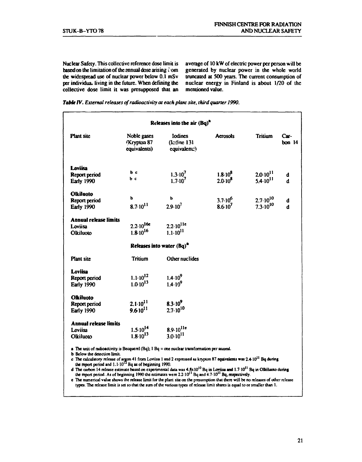**Nuclear Safety. This collective reference dose limit is based on the limitation of the annual dose arising i om the widespread use of nuclear power below 0.1 mSv per individua. living in the future. When defining the collective dose limit it was presupposed that an**  **average of 10 kW of electric power per person will be generated by nuclear power in the whole world truncated at 500 years. The current consumption of nuclear energy in Finland is about 1/20 of the mentioned value.** 

| Table IV. External releases of radioactivity at each plant site, third quarter 1990. |  |
|--------------------------------------------------------------------------------------|--|
|--------------------------------------------------------------------------------------|--|

| <b>Plant</b> site            | Noble gases                    | <b>I</b> odines                              | <b>Acrosols</b>    | <b>Tritium</b>      | Car-     |
|------------------------------|--------------------------------|----------------------------------------------|--------------------|---------------------|----------|
|                              | Krypton 87<br>equivalents)     | (Icdine 131<br>equivalent?)                  |                    |                     | bon $14$ |
|                              |                                |                                              |                    |                     |          |
| <b>Loviisa</b>               |                                |                                              |                    |                     |          |
| Report period                | b c                            | $1.3 \cdot 10^7$                             | $1.8 \cdot 10^8$   | $2.0 \cdot 10^{11}$ | đ        |
| <b>Early 1990</b>            | Ъс                             | $1.7 \cdot 10^7$                             | $2.0 \cdot 10^8$   | $5.4 \cdot 10^{11}$ | d        |
| <b>Olkiluoto</b>             | ъ                              |                                              |                    |                     |          |
| Report period                |                                | ъ                                            | $3.7 \cdot 10^{6}$ | $2.7 \cdot 10^{10}$ | d        |
| Early 1990                   | $8.7 \cdot 10^{11}$            | $2.9 \cdot 10^7$                             | $8.6 \cdot 10^{7}$ | $7.3 \cdot 10^{10}$ | d        |
| <b>Annual release limits</b> |                                |                                              |                    |                     |          |
| Loviisa                      | $2.2 \cdot 10^{16e}$           | $2.2 \cdot 10^{11e}$                         |                    |                     |          |
| Olkiluoto                    | $1.8 \cdot 10^{16}$            | $1.1 \cdot 10^{11}$                          |                    |                     |          |
|                              | Releases into water $(Bq)^{2}$ |                                              |                    |                     |          |
| <b>Plant</b> site            | Tritium                        | Other nuclides                               |                    |                     |          |
| <b>Loviisa</b>               |                                |                                              |                    |                     |          |
| Report period                | $1.1 \cdot 10^{12}$            | $1.4 \cdot 10^{9}$                           |                    |                     |          |
| <b>Early 1990</b>            | $1.010^{13}$                   | $1.4 \cdot 10^{9}$                           |                    |                     |          |
| <b>Olkiluoto</b>             |                                |                                              |                    |                     |          |
| Report period                | $2.1 \cdot 10^{11}$            | $8.3 \cdot 10^9$                             |                    |                     |          |
| Early 1990                   | $9.610^{11}$                   | $2.7 \cdot 10^{10}$                          |                    |                     |          |
| <b>Annual release limits</b> |                                |                                              |                    |                     |          |
| Loviisa                      | $1.5 \cdot 10^{14}$            | $8.9 \cdot 10^{11e}$<br>3.0.10 <sup>11</sup> |                    |                     |          |
| Olkiluoto                    | $1.8 \cdot 10^{13}$            |                                              |                    |                     |          |

**c The calculatory release of argon 41 from Loviisa 1 and 2 expressed as krypton 87 equivalents was 2.4 10<sup>11</sup> Bq during** 

**the report period and 1.1 10 Bq as of beginning 1990.** 

**d The carbon 14 release estimate based on experimental data was 4.8xl01 0Bq in Loviisa and 1.7-10 Bq in Olkiluoto during the report period. As of beginning 1990 the estimates were 2.2 10<sup>1</sup> ' Bq and 4.7 10<sup>11</sup> Bq, respectively,** 

**e The numerical value shows the release limit for the plant site on the presumption that there will be no releases of other release types. The release limit is set so that the sum of the various types of release limit shares is equal to or smaller than 1.**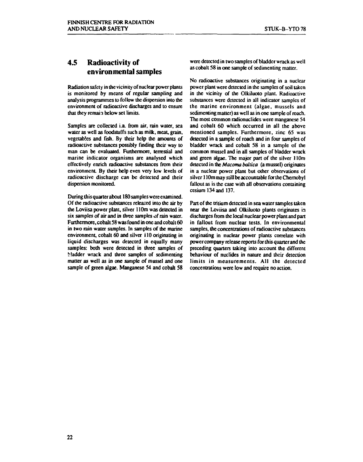#### **4.5 Radioactivity of environmental samples**

**Radiation safety in the vicinity of nuclear power plants is monitored by means of regular sampling and analysis programmes to follow the dispersion into the environment of radioactive discharges and to ensure that they remain below set limits.** 

**Samples are collected i.a. from air, rain water, sea water as well as foodstuffs such as milk, meat, grain, vegetables and fish. By their help the amounts of radioactive substances possibly finding their way to man can be evaluated. Furthermore, terrestial and marine indicator organisms are analysed which effectively enrich radioactive substances from their environment By their help even very low levels of radioactive discharge can be detected and their dispersion monitored.** 

**During this quarter about 180 samples were examined. Of the radioactive substances released into the air by the Loviisa power plant, silver 110m was detected in six samples of air and in three samples of rain water. Furthermore, cobalt 58 was found in one and cobalt 60 in two rain water samples. In samples of the marine environment, cobalt 60 and silver i 10 originating in liquid discharges was detected in equally many samples: both were detected in three samples of bladder wrack and three samples of sedimenting matter as well as in one sample of mussel and one sample of green algae. Manganese 54 and cobalt 58**  **were detected in two samples of bladder wrack as well as cobalt 58 in one sample of sedimenting matter.** 

**No radioactive substances originating in a nuclear power plant were detected in the samples of soil taken in the vicinity of the Olkiluoto plant. Radioactive substances were detected in all indicator samples of the marine environment (algae, mussels and sedimenting matter) as well as in one sample of roach. The most common radionuclides were manganese 54 and cobalt 60 which occurred in all the above mentioned samples. Furthermore, zinc 65 was detected in a sample of roach and in four samples of bladder wrack and cobalt 58 in a sample of the common mussel and in all samples of bladder wrack and green algae. The major part of the silver 110m detected in the** *Macoma baltica* **(a mussel) originates in a nuclear power plant but other observations of silver 110m may still be accountable for the Chernobyl fallout as is the case with all observations containing cesium 134 and 137.** 

**Part of the tritium detected in sea water samples taken near the Loviisa and Olkiluoto plants originates in discharges from the local nuclear power plant and part in fallout from nuclear tests. In environmental samples, the concentrations of radioactive substances originating in nuclear power plants correlate with power company release reports for this quarter and the preceding quarters taking into account the different behaviour of nuclides in nature and their detection limits in measurements. All the detected concentrations were low and require no action.**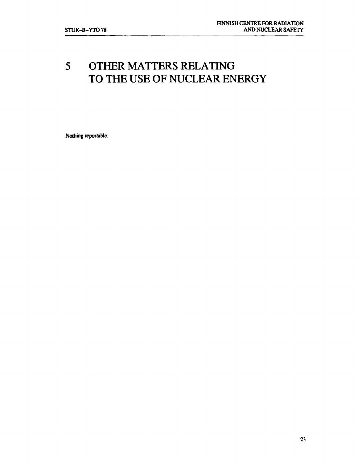### **5 OTHER MATTERS RELATING TO THE USE OF NUCLEAR ENERGY**

**Nothing reportable.**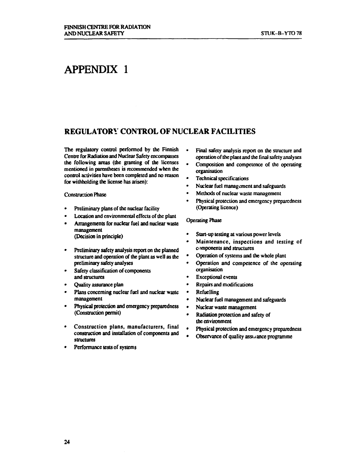### **APPENDIX 1**

#### **REGULATORY CONTROL OF NUCLEAR FACILITIES**

**The regulatory control performed by the Finnish Centre for Radiation and Nuclear Safety encompasses the following areas (the granting of the licenses mentioned in parentheses is recommended when the control activities have been completed and no reason for withholding the license has arisen):** 

**Construction Phase** 

- **Preliminary plans of the nuclear facility**
- **Location and environmental effects of the plant**
- **Arrangements for nuclear fuel and nuclear waste management (Decision in principle)**
- **Preliminary safety analysis report on the planned structure and operation of the plant as well as the preliminary safety analyses**
- **Safety classification of components and structures**
- **Quality assurance plan**
- **Plans concerning nuclear fuel and nuclear waste management**
- **Physical protection and emergency preparedness (Construction permit)**
- **Construction plans, manufacturers, final construction and installation of components and structures**
- **Performance tests of systems**
- **Final safety analysis report on the structure and operation of the plant and the final safety analyses**
- **Composition and competence of the operating organisation**
- **Technical specifications**
- **Nuclear fuel management and safeguards**
- **Methods of nuclear waste management**
- **Physical protection and emergency preparedness (Operating licence)**

#### **Operating Phase**

- **Start-up testing at various power levels**
- **Maintenance, inspections and testing of components and structures**
- **Operation of systems and the whole plant**
- **Operation and competence of the operating organisation**
- **Exceptional events**
- **Repairs and modifications**
- **Refuelling**
- **Nuclear fuel management and safeguards**
- **Nuclear waste management**
- **Radiation protection and safety of the environment**
- **Physical protection and emergency preparedness**
- **Observance of quality assuance programme**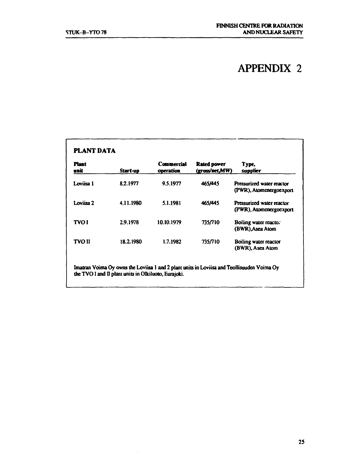## **APPENDIX 2**

| <b>Plant</b><br>unit | Start-up  | <b>Commercial</b><br>operation | Rated power<br>(gross/net,MW) | Type,<br>supplier                                    |
|----------------------|-----------|--------------------------------|-------------------------------|------------------------------------------------------|
| Loviisa 1            | 8.2.1977  | 9.5.1977                       | 465/445                       | Pressurized water reactor<br>(PWR), Atomenergoexport |
| Loviisa 2            | 4.11.1980 | 5.1.1981                       | 465/445                       | Pressurized water reactor<br>(PWR), Atomenergoexport |
| <b>TVOI</b>          | 2.9.1978  | 10.10.1979                     | 735/710                       | Boiling water reacto.<br>(BWR), Asea Atom            |
| <b>TVO II</b>        | 18.2.1980 | 1.7.1982                       | 735/710                       | Boiling water reactor<br>(BWR), Asea Atom            |

 $\sim$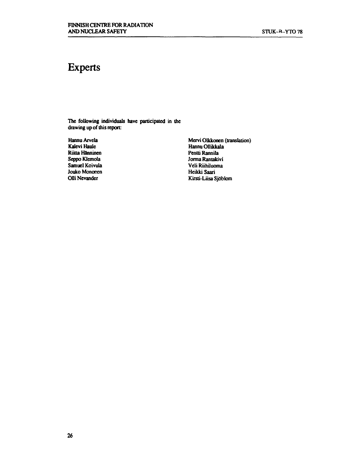### **Experts**

**The following individuals have participated in the drawing up of this report:** 

**Hannu Arvela Kalevi Haule Riitta Hänninen Seppo Klemola Samuel Koivula Jouko Mononen Olli Nevander** 

**Mervi Olkkonen (translation) Hannu Ollikkala Pentti Rannila Jorma Rantakivi Veli Riihiluoma Heikki Saari Kirsti-Liisa Sjöblom**